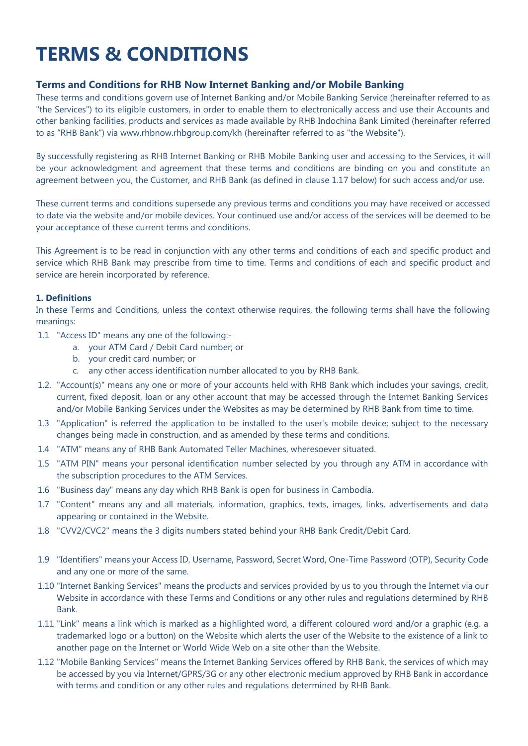# **TERMS & CONDITIONS**

# **Terms and Conditions for RHB Now Internet Banking and/or Mobile Banking**

These terms and conditions govern use of Internet Banking and/or Mobile Banking Service (hereinafter referred to as "the Services") to its eligible customers, in order to enable them to electronically access and use their Accounts and other banking facilities, products and services as made available by RHB Indochina Bank Limited (hereinafter referred to as "RHB Bank") via www.rhbnow.rhbgroup.com/kh (hereinafter referred to as "the Website").

By successfully registering as RHB Internet Banking or RHB Mobile Banking user and accessing to the Services, it will be your acknowledgment and agreement that these terms and conditions are binding on you and constitute an agreement between you, the Customer, and RHB Bank (as defined in clause 1.17 below) for such access and/or use.

These current terms and conditions supersede any previous terms and conditions you may have received or accessed to date via the website and/or mobile devices. Your continued use and/or access of the services will be deemed to be your acceptance of these current terms and conditions.

This Agreement is to be read in conjunction with any other terms and conditions of each and specific product and service which RHB Bank may prescribe from time to time. Terms and conditions of each and specific product and service are herein incorporated by reference.

## **1. Definitions**

In these Terms and Conditions, unless the context otherwise requires, the following terms shall have the following meanings:

- 1.1 "Access ID" means any one of the following:
	- a. your ATM Card / Debit Card number; or
	- b. your credit card number; or
	- c. any other access identification number allocated to you by RHB Bank.
- 1.2. "Account(s)" means any one or more of your accounts held with RHB Bank which includes your savings, credit, current, fixed deposit, loan or any other account that may be accessed through the Internet Banking Services and/or Mobile Banking Services under the Websites as may be determined by RHB Bank from time to time.
- 1.3 "Application" is referred the application to be installed to the user's mobile device; subject to the necessary changes being made in construction, and as amended by these terms and conditions.
- 1.4 "ATM" means any of RHB Bank Automated Teller Machines, wheresoever situated.
- 1.5 "ATM PIN" means your personal identification number selected by you through any ATM in accordance with the subscription procedures to the ATM Services.
- 1.6 "Business day" means any day which RHB Bank is open for business in Cambodia.
- 1.7 "Content" means any and all materials, information, graphics, texts, images, links, advertisements and data appearing or contained in the Website.
- 1.8 "CVV2/CVC2" means the 3 digits numbers stated behind your RHB Bank Credit/Debit Card.
- 1.9 "Identifiers" means your Access ID, Username, Password, Secret Word, One-Time Password (OTP), Security Code and any one or more of the same.
- 1.10 "Internet Banking Services" means the products and services provided by us to you through the Internet via our Website in accordance with these Terms and Conditions or any other rules and regulations determined by RHB Bank.
- 1.11 "Link" means a link which is marked as a highlighted word, a different coloured word and/or a graphic (e.g. a trademarked logo or a button) on the Website which alerts the user of the Website to the existence of a link to another page on the Internet or World Wide Web on a site other than the Website.
- 1.12 "Mobile Banking Services" means the Internet Banking Services offered by RHB Bank, the services of which may be accessed by you via Internet/GPRS/3G or any other electronic medium approved by RHB Bank in accordance with terms and condition or any other rules and regulations determined by RHB Bank.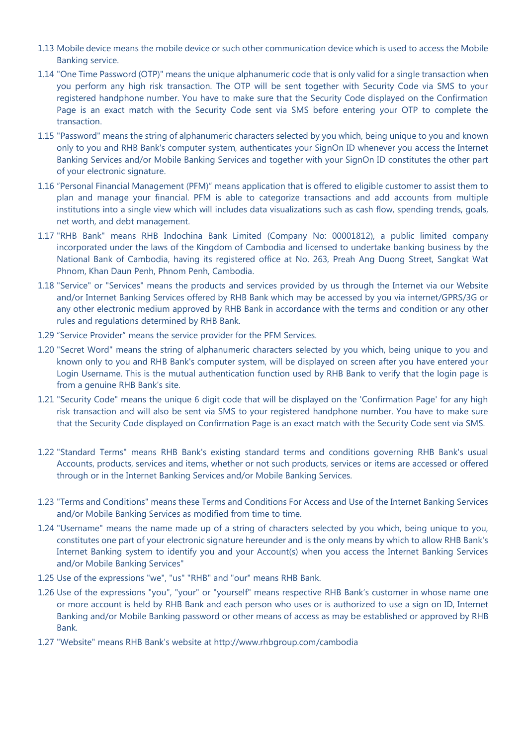- 1.13 Mobile device means the mobile device or such other communication device which is used to access the Mobile Banking service.
- 1.14 "One Time Password (OTP)" means the unique alphanumeric code that is only valid for a single transaction when you perform any high risk transaction. The OTP will be sent together with Security Code via SMS to your registered handphone number. You have to make sure that the Security Code displayed on the Confirmation Page is an exact match with the Security Code sent via SMS before entering your OTP to complete the transaction.
- 1.15 "Password" means the string of alphanumeric characters selected by you which, being unique to you and known only to you and RHB Bank's computer system, authenticates your SignOn ID whenever you access the Internet Banking Services and/or Mobile Banking Services and together with your SignOn ID constitutes the other part of your electronic signature.
- 1.16 "Personal Financial Management (PFM)" means application that is offered to eligible customer to assist them to plan and manage your financial. PFM is able to categorize transactions and add accounts from multiple institutions into a single view which will includes data visualizations such as cash flow, spending trends, goals, net worth, and debt management.
- 1.17 "RHB Bank" means RHB Indochina Bank Limited (Company No: 00001812), a public limited company incorporated under the laws of the Kingdom of Cambodia and licensed to undertake banking business by the National Bank of Cambodia, having its registered office at No. 263, Preah Ang Duong Street, Sangkat Wat Phnom, Khan Daun Penh, Phnom Penh, Cambodia.
- 1.18 "Service" or "Services" means the products and services provided by us through the Internet via our Website and/or Internet Banking Services offered by RHB Bank which may be accessed by you via internet/GPRS/3G or any other electronic medium approved by RHB Bank in accordance with the terms and condition or any other rules and regulations determined by RHB Bank.
- 1.29 "Service Provider" means the service provider for the PFM Services.
- 1.20 "Secret Word" means the string of alphanumeric characters selected by you which, being unique to you and known only to you and RHB Bank's computer system, will be displayed on screen after you have entered your Login Username. This is the mutual authentication function used by RHB Bank to verify that the login page is from a genuine RHB Bank's site.
- 1.21 "Security Code" means the unique 6 digit code that will be displayed on the 'Confirmation Page' for any high risk transaction and will also be sent via SMS to your registered handphone number. You have to make sure that the Security Code displayed on Confirmation Page is an exact match with the Security Code sent via SMS.
- 1.22 "Standard Terms" means RHB Bank's existing standard terms and conditions governing RHB Bank's usual Accounts, products, services and items, whether or not such products, services or items are accessed or offered through or in the Internet Banking Services and/or Mobile Banking Services.
- 1.23 "Terms and Conditions" means these Terms and Conditions For Access and Use of the Internet Banking Services and/or Mobile Banking Services as modified from time to time.
- 1.24 "Username" means the name made up of a string of characters selected by you which, being unique to you, constitutes one part of your electronic signature hereunder and is the only means by which to allow RHB Bank's Internet Banking system to identify you and your Account(s) when you access the Internet Banking Services and/or Mobile Banking Services"
- 1.25 Use of the expressions "we", "us" "RHB" and "our" means RHB Bank.
- 1.26 Use of the expressions "you", "your" or "yourself" means respective RHB Bank's customer in whose name one or more account is held by RHB Bank and each person who uses or is authorized to use a sign on ID, Internet Banking and/or Mobile Banking password or other means of access as may be established or approved by RHB Bank.
- 1.27 "Website" means RHB Bank's website at http://www.rhbgroup.com/cambodia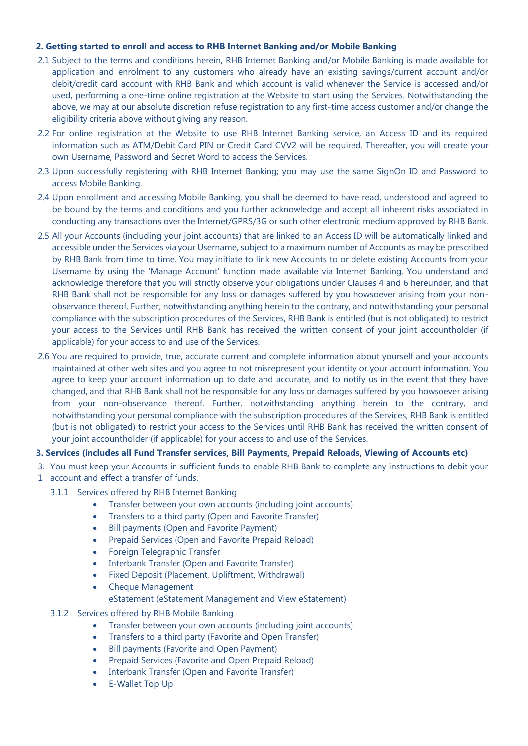## **2. Getting started to enroll and access to RHB Internet Banking and/or Mobile Banking**

- 2.1 Subject to the terms and conditions herein, RHB Internet Banking and/or Mobile Banking is made available for application and enrolment to any customers who already have an existing savings/current account and/or debit/credit card account with RHB Bank and which account is valid whenever the Service is accessed and/or used, performing a one-time online registration at the Website to start using the Services. Notwithstanding the above, we may at our absolute discretion refuse registration to any first-time access customer and/or change the eligibility criteria above without giving any reason.
- 2.2 For online registration at the Website to use RHB Internet Banking service, an Access ID and its required information such as ATM/Debit Card PIN or Credit Card CVV2 will be required. Thereafter, you will create your own Username, Password and Secret Word to access the Services.
- 2.3 Upon successfully registering with RHB Internet Banking; you may use the same SignOn ID and Password to access Mobile Banking.
- 2.4 Upon enrollment and accessing Mobile Banking, you shall be deemed to have read, understood and agreed to be bound by the terms and conditions and you further acknowledge and accept all inherent risks associated in conducting any transactions over the Internet/GPRS/3G or such other electronic medium approved by RHB Bank.
- 2.5 All your Accounts (including your joint accounts) that are linked to an Access ID will be automatically linked and accessible under the Services via your Username, subject to a maximum number of Accounts as may be prescribed by RHB Bank from time to time. You may initiate to link new Accounts to or delete existing Accounts from your Username by using the 'Manage Account' function made available via Internet Banking. You understand and acknowledge therefore that you will strictly observe your obligations under Clauses 4 and 6 hereunder, and that RHB Bank shall not be responsible for any loss or damages suffered by you howsoever arising from your nonobservance thereof. Further, notwithstanding anything herein to the contrary, and notwithstanding your personal compliance with the subscription procedures of the Services, RHB Bank is entitled (but is not obligated) to restrict your access to the Services until RHB Bank has received the written consent of your joint accountholder (if applicable) for your access to and use of the Services.
- 2.6 You are required to provide, true, accurate current and complete information about yourself and your accounts maintained at other web sites and you agree to not misrepresent your identity or your account information. You agree to keep your account information up to date and accurate, and to notify us in the event that they have changed, and that RHB Bank shall not be responsible for any loss or damages suffered by you howsoever arising from your non-observance thereof. Further, notwithstanding anything herein to the contrary, and notwithstanding your personal compliance with the subscription procedures of the Services, RHB Bank is entitled (but is not obligated) to restrict your access to the Services until RHB Bank has received the written consent of your joint accountholder (if applicable) for your access to and use of the Services.

# **3. Services (includes all Fund Transfer services, Bill Payments, Prepaid Reloads, Viewing of Accounts etc)**

- 3. You must keep your Accounts in sufficient funds to enable RHB Bank to complete any instructions to debit your
- 1 account and effect a transfer of funds.
	- 3.1.1 Services offered by RHB Internet Banking
		- Transfer between your own accounts (including joint accounts)
		- Transfers to a third party (Open and Favorite Transfer)
		- Bill payments (Open and Favorite Payment)
		- Prepaid Services (Open and Favorite Prepaid Reload)
		- Foreign Telegraphic Transfer
		- Interbank Transfer (Open and Favorite Transfer)
		- Fixed Deposit (Placement, Upliftment, Withdrawal)
		- Cheque Management
			- eStatement (eStatement Management and View eStatement)
	- 3.1.2 Services offered by RHB Mobile Banking
		- Transfer between your own accounts (including joint accounts)
		- Transfers to a third party (Favorite and Open Transfer)
		- Bill payments (Favorite and Open Payment)
		- Prepaid Services (Favorite and Open Prepaid Reload)
		- Interbank Transfer (Open and Favorite Transfer)
		- E-Wallet Top Up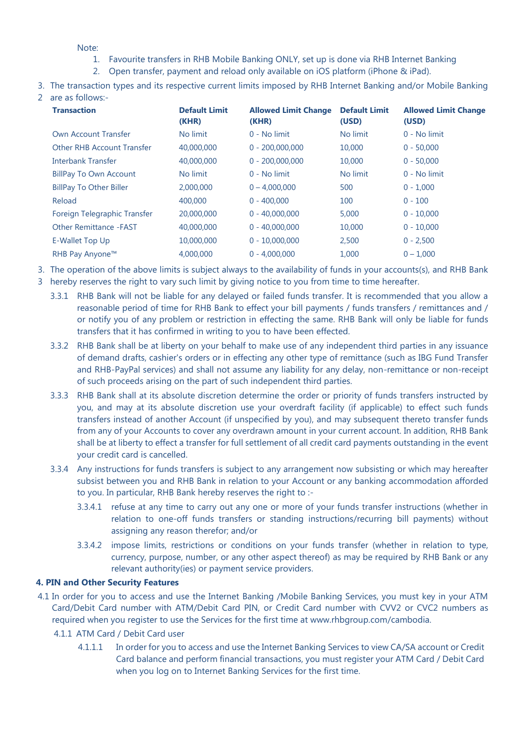Note:

- 1. Favourite transfers in RHB Mobile Banking ONLY, set up is done via RHB Internet Banking
- 2. Open transfer, payment and reload only available on iOS platform (iPhone & iPad).
- 3. The transaction types and its respective current limits imposed by RHB Internet Banking and/or Mobile Banking
- 2 are as follows:-

| <b>Transaction</b>                | <b>Default Limit</b><br>(KHR) | <b>Allowed Limit Change</b><br>(KHR) | <b>Default Limit</b><br>(USD) | <b>Allowed Limit Change</b><br>(USD) |
|-----------------------------------|-------------------------------|--------------------------------------|-------------------------------|--------------------------------------|
| Own Account Transfer              | No limit                      | 0 - No limit                         | No limit                      | 0 - No limit                         |
| <b>Other RHB Account Transfer</b> | 40,000,000                    | $0 - 200,000,000$                    | 10,000                        | $0 - 50,000$                         |
| <b>Interbank Transfer</b>         | 40,000,000                    | $0 - 200,000,000$                    | 10,000                        | $0 - 50,000$                         |
| <b>BillPay To Own Account</b>     | No limit                      | $0 - No$ limit                       | No limit                      | $0 - No$ limit                       |
| <b>BillPay To Other Biller</b>    | 2,000,000                     | $0 - 4.000.000$                      | 500                           | $0 - 1,000$                          |
| Reload                            | 400,000                       | $0 - 400,000$                        | 100                           | $0 - 100$                            |
| Foreign Telegraphic Transfer      | 20,000,000                    | $0 - 40,000,000$                     | 5,000                         | $0 - 10,000$                         |
| <b>Other Remittance -FAST</b>     | 40,000,000                    | $0 - 40,000,000$                     | 10,000                        | $0 - 10,000$                         |
| E-Wallet Top Up                   | 10,000,000                    | $0 - 10,000,000$                     | 2,500                         | $0 - 2.500$                          |
| RHB Pay Anyone™                   | 4,000,000                     | $0 - 4.000.000$                      | 1.000                         | $0 - 1,000$                          |

3. The operation of the above limits is subject always to the availability of funds in your accounts(s), and RHB Bank

- 3 hereby reserves the right to vary such limit by giving notice to you from time to time hereafter.
	- 3.3.1 RHB Bank will not be liable for any delayed or failed funds transfer. It is recommended that you allow a reasonable period of time for RHB Bank to effect your bill payments / funds transfers / remittances and / or notify you of any problem or restriction in effecting the same. RHB Bank will only be liable for funds transfers that it has confirmed in writing to you to have been effected.
	- 3.3.2 RHB Bank shall be at liberty on your behalf to make use of any independent third parties in any issuance of demand drafts, cashier's orders or in effecting any other type of remittance (such as IBG Fund Transfer and RHB-PayPal services) and shall not assume any liability for any delay, non-remittance or non-receipt of such proceeds arising on the part of such independent third parties.
	- 3.3.3 RHB Bank shall at its absolute discretion determine the order or priority of funds transfers instructed by you, and may at its absolute discretion use your overdraft facility (if applicable) to effect such funds transfers instead of another Account (if unspecified by you), and may subsequent thereto transfer funds from any of your Accounts to cover any overdrawn amount in your current account. In addition, RHB Bank shall be at liberty to effect a transfer for full settlement of all credit card payments outstanding in the event your credit card is cancelled.
	- 3.3.4 Any instructions for funds transfers is subject to any arrangement now subsisting or which may hereafter subsist between you and RHB Bank in relation to your Account or any banking accommodation afforded to you. In particular, RHB Bank hereby reserves the right to :-
		- 3.3.4.1 refuse at any time to carry out any one or more of your funds transfer instructions (whether in relation to one-off funds transfers or standing instructions/recurring bill payments) without assigning any reason therefor; and/or
		- 3.3.4.2 impose limits, restrictions or conditions on your funds transfer (whether in relation to type, currency, purpose, number, or any other aspect thereof) as may be required by RHB Bank or any relevant authority(ies) or payment service providers.

## **4. PIN and Other Security Features**

- 4.1 In order for you to access and use the Internet Banking /Mobile Banking Services, you must key in your ATM Card/Debit Card number with ATM/Debit Card PIN, or Credit Card number with CVV2 or CVC2 numbers as required when you register to use the Services for the first time at www.rhbgroup.com/cambodia.
	- 4.1.1 ATM Card / Debit Card user
		- 4.1.1.1 In order for you to access and use the Internet Banking Services to view CA/SA account or Credit Card balance and perform financial transactions, you must register your ATM Card / Debit Card when you log on to Internet Banking Services for the first time.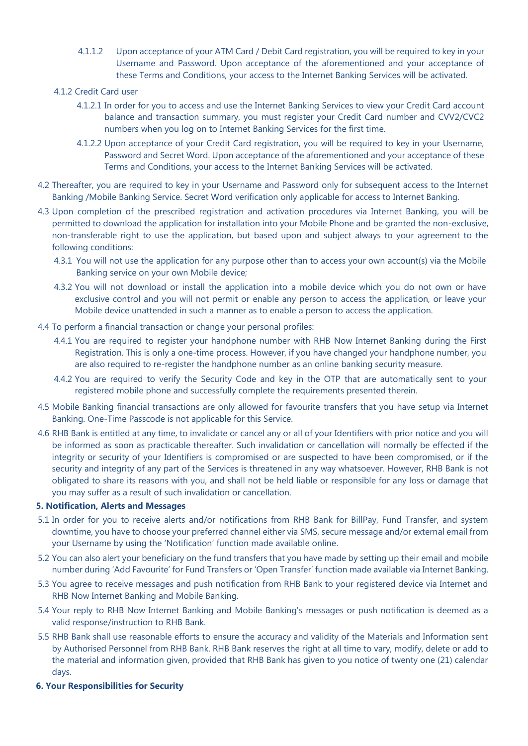- 4.1.1.2 Upon acceptance of your ATM Card / Debit Card registration, you will be required to key in your Username and Password. Upon acceptance of the aforementioned and your acceptance of these Terms and Conditions, your access to the Internet Banking Services will be activated.
- 4.1.2 Credit Card user
	- 4.1.2.1 In order for you to access and use the Internet Banking Services to view your Credit Card account balance and transaction summary, you must register your Credit Card number and CVV2/CVC2 numbers when you log on to Internet Banking Services for the first time.
	- 4.1.2.2 Upon acceptance of your Credit Card registration, you will be required to key in your Username, Password and Secret Word. Upon acceptance of the aforementioned and your acceptance of these Terms and Conditions, your access to the Internet Banking Services will be activated.
- 4.2 Thereafter, you are required to key in your Username and Password only for subsequent access to the Internet Banking /Mobile Banking Service. Secret Word verification only applicable for access to Internet Banking.
- 4.3 Upon completion of the prescribed registration and activation procedures via Internet Banking, you will be permitted to download the application for installation into your Mobile Phone and be granted the non-exclusive, non-transferable right to use the application, but based upon and subject always to your agreement to the following conditions:
	- 4.3.1 You will not use the application for any purpose other than to access your own account(s) via the Mobile Banking service on your own Mobile device;
	- 4.3.2 You will not download or install the application into a mobile device which you do not own or have exclusive control and you will not permit or enable any person to access the application, or leave your Mobile device unattended in such a manner as to enable a person to access the application.
- 4.4 To perform a financial transaction or change your personal profiles:
	- 4.4.1 You are required to register your handphone number with RHB Now Internet Banking during the First Registration. This is only a one-time process. However, if you have changed your handphone number, you are also required to re-register the handphone number as an online banking security measure.
	- 4.4.2 You are required to verify the Security Code and key in the OTP that are automatically sent to your registered mobile phone and successfully complete the requirements presented therein.
- 4.5 Mobile Banking financial transactions are only allowed for favourite transfers that you have setup via Internet Banking. One-Time Passcode is not applicable for this Service.
- 4.6 RHB Bank is entitled at any time, to invalidate or cancel any or all of your Identifiers with prior notice and you will be informed as soon as practicable thereafter. Such invalidation or cancellation will normally be effected if the integrity or security of your Identifiers is compromised or are suspected to have been compromised, or if the security and integrity of any part of the Services is threatened in any way whatsoever. However, RHB Bank is not obligated to share its reasons with you, and shall not be held liable or responsible for any loss or damage that you may suffer as a result of such invalidation or cancellation.

## **5. Notification, Alerts and Messages**

- 5.1 In order for you to receive alerts and/or notifications from RHB Bank for BillPay, Fund Transfer, and system downtime, you have to choose your preferred channel either via SMS, secure message and/or external email from your Username by using the 'Notification' function made available online.
- 5.2 You can also alert your beneficiary on the fund transfers that you have made by setting up their email and mobile number during 'Add Favourite' for Fund Transfers or 'Open Transfer' function made available via Internet Banking.
- 5.3 You agree to receive messages and push notification from RHB Bank to your registered device via Internet and RHB Now Internet Banking and Mobile Banking.
- 5.4 Your reply to RHB Now Internet Banking and Mobile Banking's messages or push notification is deemed as a valid response/instruction to RHB Bank.
- 5.5 RHB Bank shall use reasonable efforts to ensure the accuracy and validity of the Materials and Information sent by Authorised Personnel from RHB Bank. RHB Bank reserves the right at all time to vary, modify, delete or add to the material and information given, provided that RHB Bank has given to you notice of twenty one (21) calendar days.
- **6. Your Responsibilities for Security**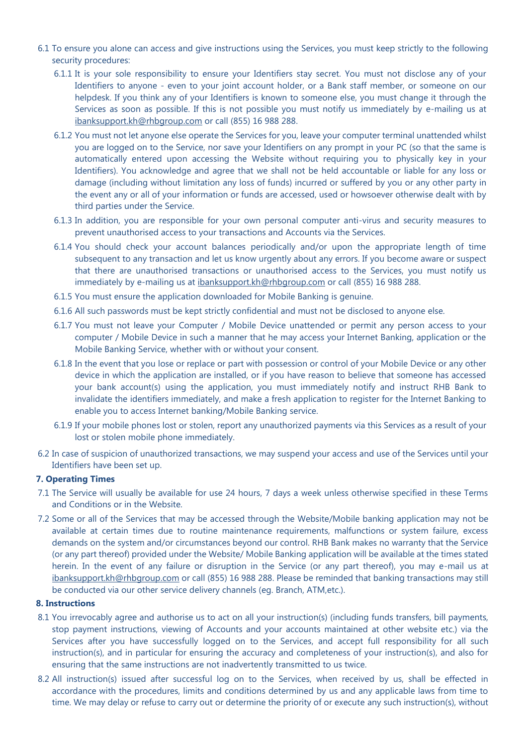- 6.1 To ensure you alone can access and give instructions using the Services, you must keep strictly to the following security procedures:
	- 6.1.1 It is your sole responsibility to ensure your Identifiers stay secret. You must not disclose any of your Identifiers to anyone - even to your joint account holder, or a Bank staff member, or someone on our helpdesk. If you think any of your Identifiers is known to someone else, you must change it through the Services as soon as possible. If this is not possible you must notify us immediately by e-mailing us at [ibanksupport.kh@rhbgroup.com](mailto:ibanksupport@rhbbank.com.my) or call (855) 16 988 288.
	- 6.1.2 You must not let anyone else operate the Services for you, leave your computer terminal unattended whilst you are logged on to the Service, nor save your Identifiers on any prompt in your PC (so that the same is automatically entered upon accessing the Website without requiring you to physically key in your Identifiers). You acknowledge and agree that we shall not be held accountable or liable for any loss or damage (including without limitation any loss of funds) incurred or suffered by you or any other party in the event any or all of your information or funds are accessed, used or howsoever otherwise dealt with by third parties under the Service.
	- 6.1.3 In addition, you are responsible for your own personal computer anti-virus and security measures to prevent unauthorised access to your transactions and Accounts via the Services.
	- 6.1.4 You should check your account balances periodically and/or upon the appropriate length of time subsequent to any transaction and let us know urgently about any errors. If you become aware or suspect that there are unauthorised transactions or unauthorised access to the Services, you must notify us immediately by e-mailing us at [ibanksupport.kh@rhbgroup.com](mailto:ibanksupport@rhbbank.com.my) or call (855) 16 988 288.
	- 6.1.5 You must ensure the application downloaded for Mobile Banking is genuine.
	- 6.1.6 All such passwords must be kept strictly confidential and must not be disclosed to anyone else.
	- 6.1.7 You must not leave your Computer / Mobile Device unattended or permit any person access to your computer / Mobile Device in such a manner that he may access your Internet Banking, application or the Mobile Banking Service, whether with or without your consent.
	- 6.1.8 In the event that you lose or replace or part with possession or control of your Mobile Device or any other device in which the application are installed, or if you have reason to believe that someone has accessed your bank account(s) using the application, you must immediately notify and instruct RHB Bank to invalidate the identifiers immediately, and make a fresh application to register for the Internet Banking to enable you to access Internet banking/Mobile Banking service.
	- 6.1.9 If your mobile phones lost or stolen, report any unauthorized payments via this Services as a result of your lost or stolen mobile phone immediately.
- 6.2 In case of suspicion of unauthorized transactions, we may suspend your access and use of the Services until your Identifiers have been set up.

## **7. Operating Times**

- 7.1 The Service will usually be available for use 24 hours, 7 days a week unless otherwise specified in these Terms and Conditions or in the Website.
- 7.2 Some or all of the Services that may be accessed through the Website/Mobile banking application may not be available at certain times due to routine maintenance requirements, malfunctions or system failure, excess demands on the system and/or circumstances beyond our control. RHB Bank makes no warranty that the Service (or any part thereof) provided under the Website/ Mobile Banking application will be available at the times stated herein. In the event of any failure or disruption in the Service (or any part thereof), you may e-mail us at [ibanksupport.kh@rhbgroup.com](mailto:ibanksupport@rhbbank.com.my) or call (855) 16 988 288. Please be reminded that banking transactions may still be conducted via our other service delivery channels (eg. Branch, ATM,etc.).

#### **8. Instructions**

- 8.1 You irrevocably agree and authorise us to act on all your instruction(s) (including funds transfers, bill payments, stop payment instructions, viewing of Accounts and your accounts maintained at other website etc.) via the Services after you have successfully logged on to the Services, and accept full responsibility for all such instruction(s), and in particular for ensuring the accuracy and completeness of your instruction(s), and also for ensuring that the same instructions are not inadvertently transmitted to us twice.
- 8.2 All instruction(s) issued after successful log on to the Services, when received by us, shall be effected in accordance with the procedures, limits and conditions determined by us and any applicable laws from time to time. We may delay or refuse to carry out or determine the priority of or execute any such instruction(s), without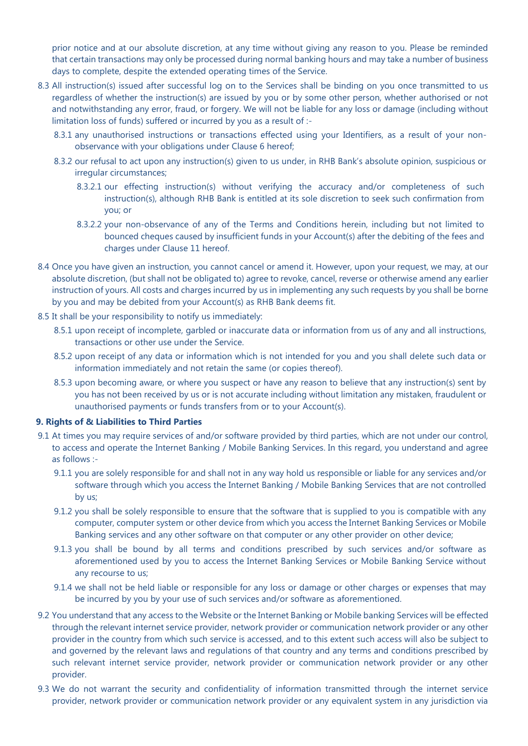prior notice and at our absolute discretion, at any time without giving any reason to you. Please be reminded that certain transactions may only be processed during normal banking hours and may take a number of business days to complete, despite the extended operating times of the Service.

- 8.3 All instruction(s) issued after successful log on to the Services shall be binding on you once transmitted to us regardless of whether the instruction(s) are issued by you or by some other person, whether authorised or not and notwithstanding any error, fraud, or forgery. We will not be liable for any loss or damage (including without limitation loss of funds) suffered or incurred by you as a result of :-
	- 8.3.1 any unauthorised instructions or transactions effected using your Identifiers, as a result of your nonobservance with your obligations under Clause 6 hereof;
	- 8.3.2 our refusal to act upon any instruction(s) given to us under, in RHB Bank's absolute opinion, suspicious or irregular circumstances;
		- 8.3.2.1 our effecting instruction(s) without verifying the accuracy and/or completeness of such instruction(s), although RHB Bank is entitled at its sole discretion to seek such confirmation from you; or
		- 8.3.2.2 your non-observance of any of the Terms and Conditions herein, including but not limited to bounced cheques caused by insufficient funds in your Account(s) after the debiting of the fees and charges under Clause 11 hereof.
- 8.4 Once you have given an instruction, you cannot cancel or amend it. However, upon your request, we may, at our absolute discretion, (but shall not be obligated to) agree to revoke, cancel, reverse or otherwise amend any earlier instruction of yours. All costs and charges incurred by us in implementing any such requests by you shall be borne by you and may be debited from your Account(s) as RHB Bank deems fit.
- 8.5 It shall be your responsibility to notify us immediately:
	- 8.5.1 upon receipt of incomplete, garbled or inaccurate data or information from us of any and all instructions, transactions or other use under the Service.
	- 8.5.2 upon receipt of any data or information which is not intended for you and you shall delete such data or information immediately and not retain the same (or copies thereof).
	- 8.5.3 upon becoming aware, or where you suspect or have any reason to believe that any instruction(s) sent by you has not been received by us or is not accurate including without limitation any mistaken, fraudulent or unauthorised payments or funds transfers from or to your Account(s).

## **9. Rights of & Liabilities to Third Parties**

- 9.1 At times you may require services of and/or software provided by third parties, which are not under our control, to access and operate the Internet Banking / Mobile Banking Services. In this regard, you understand and agree as follows :-
	- 9.1.1 you are solely responsible for and shall not in any way hold us responsible or liable for any services and/or software through which you access the Internet Banking / Mobile Banking Services that are not controlled by us;
	- 9.1.2 you shall be solely responsible to ensure that the software that is supplied to you is compatible with any computer, computer system or other device from which you access the Internet Banking Services or Mobile Banking services and any other software on that computer or any other provider on other device;
	- 9.1.3 you shall be bound by all terms and conditions prescribed by such services and/or software as aforementioned used by you to access the Internet Banking Services or Mobile Banking Service without any recourse to us;
	- 9.1.4 we shall not be held liable or responsible for any loss or damage or other charges or expenses that may be incurred by you by your use of such services and/or software as aforementioned.
- 9.2 You understand that any access to the Website or the Internet Banking or Mobile banking Services will be effected through the relevant internet service provider, network provider or communication network provider or any other provider in the country from which such service is accessed, and to this extent such access will also be subject to and governed by the relevant laws and regulations of that country and any terms and conditions prescribed by such relevant internet service provider, network provider or communication network provider or any other provider.
- 9.3 We do not warrant the security and confidentiality of information transmitted through the internet service provider, network provider or communication network provider or any equivalent system in any jurisdiction via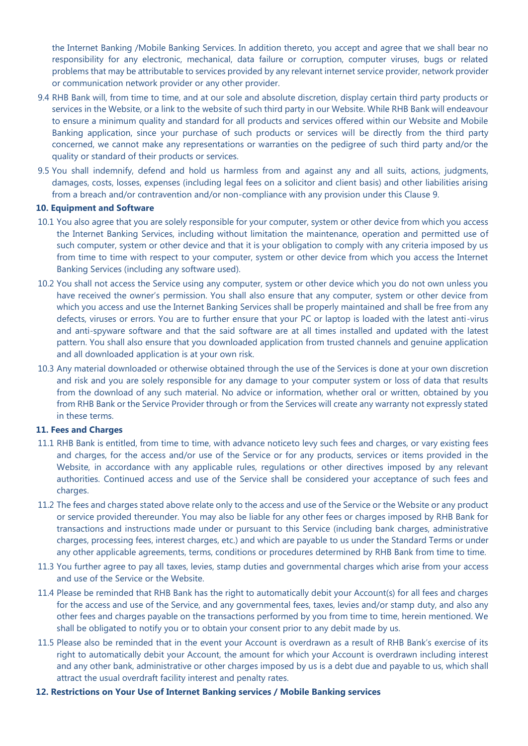the Internet Banking /Mobile Banking Services. In addition thereto, you accept and agree that we shall bear no responsibility for any electronic, mechanical, data failure or corruption, computer viruses, bugs or related problems that may be attributable to services provided by any relevant internet service provider, network provider or communication network provider or any other provider.

- 9.4 RHB Bank will, from time to time, and at our sole and absolute discretion, display certain third party products or services in the Website, or a link to the website of such third party in our Website. While RHB Bank will endeavour to ensure a minimum quality and standard for all products and services offered within our Website and Mobile Banking application, since your purchase of such products or services will be directly from the third party concerned, we cannot make any representations or warranties on the pedigree of such third party and/or the quality or standard of their products or services.
- 9.5 You shall indemnify, defend and hold us harmless from and against any and all suits, actions, judgments, damages, costs, losses, expenses (including legal fees on a solicitor and client basis) and other liabilities arising from a breach and/or contravention and/or non-compliance with any provision under this Clause 9.

#### **10. Equipment and Software**

- 10.1 You also agree that you are solely responsible for your computer, system or other device from which you access the Internet Banking Services, including without limitation the maintenance, operation and permitted use of such computer, system or other device and that it is your obligation to comply with any criteria imposed by us from time to time with respect to your computer, system or other device from which you access the Internet Banking Services (including any software used).
- 10.2 You shall not access the Service using any computer, system or other device which you do not own unless you have received the owner's permission. You shall also ensure that any computer, system or other device from which you access and use the Internet Banking Services shall be properly maintained and shall be free from any defects, viruses or errors. You are to further ensure that your PC or laptop is loaded with the latest anti-virus and anti-spyware software and that the said software are at all times installed and updated with the latest pattern. You shall also ensure that you downloaded application from trusted channels and genuine application and all downloaded application is at your own risk.
- 10.3 Any material downloaded or otherwise obtained through the use of the Services is done at your own discretion and risk and you are solely responsible for any damage to your computer system or loss of data that results from the download of any such material. No advice or information, whether oral or written, obtained by you from RHB Bank or the Service Provider through or from the Services will create any warranty not expressly stated in these terms.

#### **11. Fees and Charges**

- 11.1 RHB Bank is entitled, from time to time, with advance noticeto levy such fees and charges, or vary existing fees and charges, for the access and/or use of the Service or for any products, services or items provided in the Website, in accordance with any applicable rules, regulations or other directives imposed by any relevant authorities. Continued access and use of the Service shall be considered your acceptance of such fees and charges.
- 11.2 The fees and charges stated above relate only to the access and use of the Service or the Website or any product or service provided thereunder. You may also be liable for any other fees or charges imposed by RHB Bank for transactions and instructions made under or pursuant to this Service (including bank charges, administrative charges, processing fees, interest charges, etc.) and which are payable to us under the Standard Terms or under any other applicable agreements, terms, conditions or procedures determined by RHB Bank from time to time.
- 11.3 You further agree to pay all taxes, levies, stamp duties and governmental charges which arise from your access and use of the Service or the Website.
- 11.4 Please be reminded that RHB Bank has the right to automatically debit your Account(s) for all fees and charges for the access and use of the Service, and any governmental fees, taxes, levies and/or stamp duty, and also any other fees and charges payable on the transactions performed by you from time to time, herein mentioned. We shall be obligated to notify you or to obtain your consent prior to any debit made by us.
- 11.5 Please also be reminded that in the event your Account is overdrawn as a result of RHB Bank's exercise of its right to automatically debit your Account, the amount for which your Account is overdrawn including interest and any other bank, administrative or other charges imposed by us is a debt due and payable to us, which shall attract the usual overdraft facility interest and penalty rates.
- **12. Restrictions on Your Use of Internet Banking services / Mobile Banking services**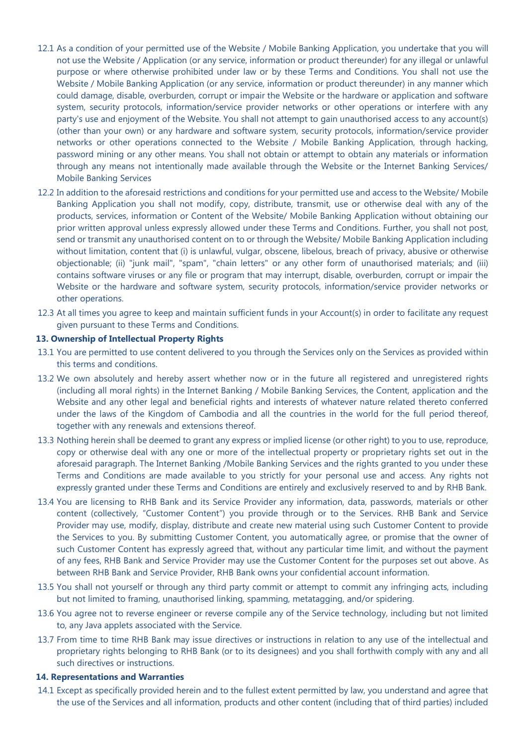- 12.1 As a condition of your permitted use of the Website / Mobile Banking Application, you undertake that you will not use the Website / Application (or any service, information or product thereunder) for any illegal or unlawful purpose or where otherwise prohibited under law or by these Terms and Conditions. You shall not use the Website / Mobile Banking Application (or any service, information or product thereunder) in any manner which could damage, disable, overburden, corrupt or impair the Website or the hardware or application and software system, security protocols, information/service provider networks or other operations or interfere with any party's use and enjoyment of the Website. You shall not attempt to gain unauthorised access to any account(s) (other than your own) or any hardware and software system, security protocols, information/service provider networks or other operations connected to the Website / Mobile Banking Application, through hacking, password mining or any other means. You shall not obtain or attempt to obtain any materials or information through any means not intentionally made available through the Website or the Internet Banking Services/ Mobile Banking Services
- 12.2 In addition to the aforesaid restrictions and conditions for your permitted use and access to the Website/ Mobile Banking Application you shall not modify, copy, distribute, transmit, use or otherwise deal with any of the products, services, information or Content of the Website/ Mobile Banking Application without obtaining our prior written approval unless expressly allowed under these Terms and Conditions. Further, you shall not post, send or transmit any unauthorised content on to or through the Website/ Mobile Banking Application including without limitation, content that (i) is unlawful, vulgar, obscene, libelous, breach of privacy, abusive or otherwise objectionable; (ii) "junk mail", "spam", "chain letters" or any other form of unauthorised materials; and (iii) contains software viruses or any file or program that may interrupt, disable, overburden, corrupt or impair the Website or the hardware and software system, security protocols, information/service provider networks or other operations.
- 12.3 At all times you agree to keep and maintain sufficient funds in your Account(s) in order to facilitate any request given pursuant to these Terms and Conditions.

#### **13. Ownership of Intellectual Property Rights**

- 13.1 You are permitted to use content delivered to you through the Services only on the Services as provided within this terms and conditions.
- 13.2 We own absolutely and hereby assert whether now or in the future all registered and unregistered rights (including all moral rights) in the Internet Banking / Mobile Banking Services, the Content, application and the Website and any other legal and beneficial rights and interests of whatever nature related thereto conferred under the laws of the Kingdom of Cambodia and all the countries in the world for the full period thereof, together with any renewals and extensions thereof.
- 13.3 Nothing herein shall be deemed to grant any express or implied license (or other right) to you to use, reproduce, copy or otherwise deal with any one or more of the intellectual property or proprietary rights set out in the aforesaid paragraph. The Internet Banking /Mobile Banking Services and the rights granted to you under these Terms and Conditions are made available to you strictly for your personal use and access. Any rights not expressly granted under these Terms and Conditions are entirely and exclusively reserved to and by RHB Bank.
- 13.4 You are licensing to RHB Bank and its Service Provider any information, data, passwords, materials or other content (collectively, "Customer Content") you provide through or to the Services. RHB Bank and Service Provider may use, modify, display, distribute and create new material using such Customer Content to provide the Services to you. By submitting Customer Content, you automatically agree, or promise that the owner of such Customer Content has expressly agreed that, without any particular time limit, and without the payment of any fees, RHB Bank and Service Provider may use the Customer Content for the purposes set out above. As between RHB Bank and Service Provider, RHB Bank owns your confidential account information.
- 13.5 You shall not yourself or through any third party commit or attempt to commit any infringing acts, including but not limited to framing, unauthorised linking, spamming, metatagging, and/or spidering.
- 13.6 You agree not to reverse engineer or reverse compile any of the Service technology, including but not limited to, any Java applets associated with the Service.
- 13.7 From time to time RHB Bank may issue directives or instructions in relation to any use of the intellectual and proprietary rights belonging to RHB Bank (or to its designees) and you shall forthwith comply with any and all such directives or instructions.

#### **14. Representations and Warranties**

14.1 Except as specifically provided herein and to the fullest extent permitted by law, you understand and agree that the use of the Services and all information, products and other content (including that of third parties) included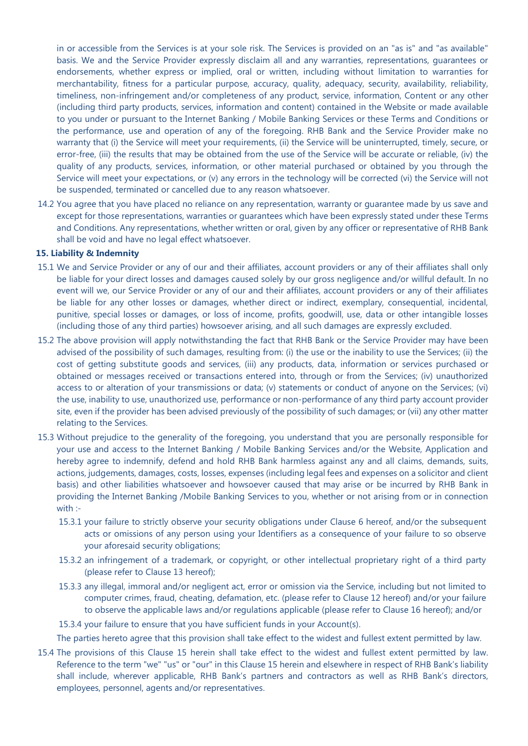in or accessible from the Services is at your sole risk. The Services is provided on an "as is" and "as available" basis. We and the Service Provider expressly disclaim all and any warranties, representations, guarantees or endorsements, whether express or implied, oral or written, including without limitation to warranties for merchantability, fitness for a particular purpose, accuracy, quality, adequacy, security, availability, reliability, timeliness, non-infringement and/or completeness of any product, service, information, Content or any other (including third party products, services, information and content) contained in the Website or made available to you under or pursuant to the Internet Banking / Mobile Banking Services or these Terms and Conditions or the performance, use and operation of any of the foregoing. RHB Bank and the Service Provider make no warranty that (i) the Service will meet your requirements, (ii) the Service will be uninterrupted, timely, secure, or error-free, (iii) the results that may be obtained from the use of the Service will be accurate or reliable, (iv) the quality of any products, services, information, or other material purchased or obtained by you through the Service will meet your expectations, or (v) any errors in the technology will be corrected (vi) the Service will not be suspended, terminated or cancelled due to any reason whatsoever.

14.2 You agree that you have placed no reliance on any representation, warranty or guarantee made by us save and except for those representations, warranties or guarantees which have been expressly stated under these Terms and Conditions. Any representations, whether written or oral, given by any officer or representative of RHB Bank shall be void and have no legal effect whatsoever.

#### **15. Liability & Indemnity**

- 15.1 We and Service Provider or any of our and their affiliates, account providers or any of their affiliates shall only be liable for your direct losses and damages caused solely by our gross negligence and/or willful default. In no event will we, our Service Provider or any of our and their affiliates, account providers or any of their affiliates be liable for any other losses or damages, whether direct or indirect, exemplary, consequential, incidental, punitive, special losses or damages, or loss of income, profits, goodwill, use, data or other intangible losses (including those of any third parties) howsoever arising, and all such damages are expressly excluded.
- 15.2 The above provision will apply notwithstanding the fact that RHB Bank or the Service Provider may have been advised of the possibility of such damages, resulting from: (i) the use or the inability to use the Services; (ii) the cost of getting substitute goods and services, (iii) any products, data, information or services purchased or obtained or messages received or transactions entered into, through or from the Services; (iv) unauthorized access to or alteration of your transmissions or data; (v) statements or conduct of anyone on the Services; (vi) the use, inability to use, unauthorized use, performance or non-performance of any third party account provider site, even if the provider has been advised previously of the possibility of such damages; or (vii) any other matter relating to the Services.
- 15.3 Without prejudice to the generality of the foregoing, you understand that you are personally responsible for your use and access to the Internet Banking / Mobile Banking Services and/or the Website, Application and hereby agree to indemnify, defend and hold RHB Bank harmless against any and all claims, demands, suits, actions, judgements, damages, costs, losses, expenses (including legal fees and expenses on a solicitor and client basis) and other liabilities whatsoever and howsoever caused that may arise or be incurred by RHB Bank in providing the Internet Banking /Mobile Banking Services to you, whether or not arising from or in connection with :-
	- 15.3.1 your failure to strictly observe your security obligations under Clause 6 hereof, and/or the subsequent acts or omissions of any person using your Identifiers as a consequence of your failure to so observe your aforesaid security obligations;
	- 15.3.2 an infringement of a trademark, or copyright, or other intellectual proprietary right of a third party (please refer to Clause 13 hereof);
	- 15.3.3 any illegal, immoral and/or negligent act, error or omission via the Service, including but not limited to computer crimes, fraud, cheating, defamation, etc. (please refer to Clause 12 hereof) and/or your failure to observe the applicable laws and/or regulations applicable (please refer to Clause 16 hereof); and/or
	- 15.3.4 your failure to ensure that you have sufficient funds in your Account(s).

The parties hereto agree that this provision shall take effect to the widest and fullest extent permitted by law.

15.4 The provisions of this Clause 15 herein shall take effect to the widest and fullest extent permitted by law. Reference to the term "we" "us" or "our" in this Clause 15 herein and elsewhere in respect of RHB Bank's liability shall include, wherever applicable, RHB Bank's partners and contractors as well as RHB Bank's directors, employees, personnel, agents and/or representatives.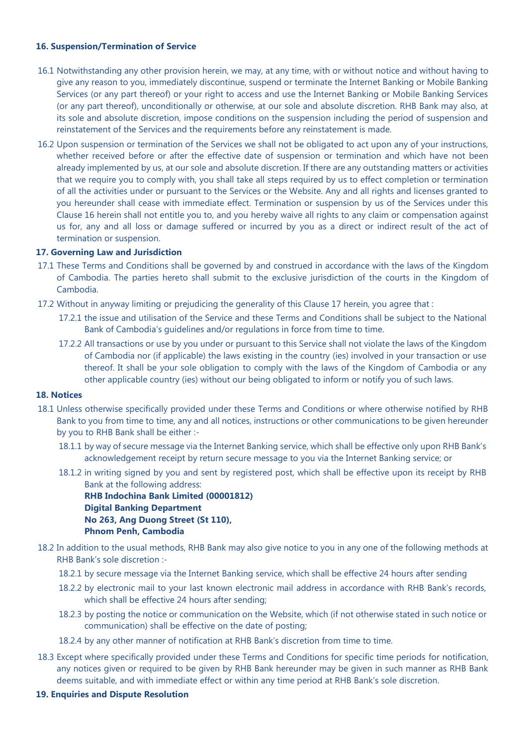## **16. Suspension/Termination of Service**

- 16.1 Notwithstanding any other provision herein, we may, at any time, with or without notice and without having to give any reason to you, immediately discontinue, suspend or terminate the Internet Banking or Mobile Banking Services (or any part thereof) or your right to access and use the Internet Banking or Mobile Banking Services (or any part thereof), unconditionally or otherwise, at our sole and absolute discretion. RHB Bank may also, at its sole and absolute discretion, impose conditions on the suspension including the period of suspension and reinstatement of the Services and the requirements before any reinstatement is made.
- 16.2 Upon suspension or termination of the Services we shall not be obligated to act upon any of your instructions, whether received before or after the effective date of suspension or termination and which have not been already implemented by us, at our sole and absolute discretion. If there are any outstanding matters or activities that we require you to comply with, you shall take all steps required by us to effect completion or termination of all the activities under or pursuant to the Services or the Website. Any and all rights and licenses granted to you hereunder shall cease with immediate effect. Termination or suspension by us of the Services under this Clause 16 herein shall not entitle you to, and you hereby waive all rights to any claim or compensation against us for, any and all loss or damage suffered or incurred by you as a direct or indirect result of the act of termination or suspension.

#### **17. Governing Law and Jurisdiction**

- 17.1 These Terms and Conditions shall be governed by and construed in accordance with the laws of the Kingdom of Cambodia. The parties hereto shall submit to the exclusive jurisdiction of the courts in the Kingdom of Cambodia.
- 17.2 Without in anyway limiting or prejudicing the generality of this Clause 17 herein, you agree that :
	- 17.2.1 the issue and utilisation of the Service and these Terms and Conditions shall be subject to the National Bank of Cambodia's guidelines and/or regulations in force from time to time.
	- 17.2.2 All transactions or use by you under or pursuant to this Service shall not violate the laws of the Kingdom of Cambodia nor (if applicable) the laws existing in the country (ies) involved in your transaction or use thereof. It shall be your sole obligation to comply with the laws of the Kingdom of Cambodia or any other applicable country (ies) without our being obligated to inform or notify you of such laws.

#### **18. Notices**

- 18.1 Unless otherwise specifically provided under these Terms and Conditions or where otherwise notified by RHB Bank to you from time to time, any and all notices, instructions or other communications to be given hereunder by you to RHB Bank shall be either :-
	- 18.1.1 by way of secure message via the Internet Banking service, which shall be effective only upon RHB Bank's acknowledgement receipt by return secure message to you via the Internet Banking service; or
	- 18.1.2 in writing signed by you and sent by registered post, which shall be effective upon its receipt by RHB Bank at the following address:

**RHB Indochina Bank Limited (00001812) Digital Banking Department No 263, Ang Duong Street (St 110), Phnom Penh, Cambodia**

- 18.2 In addition to the usual methods, RHB Bank may also give notice to you in any one of the following methods at RHB Bank's sole discretion :-
	- 18.2.1 by secure message via the Internet Banking service, which shall be effective 24 hours after sending
	- 18.2.2 by electronic mail to your last known electronic mail address in accordance with RHB Bank's records, which shall be effective 24 hours after sending;
	- 18.2.3 by posting the notice or communication on the Website, which (if not otherwise stated in such notice or communication) shall be effective on the date of posting;
	- 18.2.4 by any other manner of notification at RHB Bank's discretion from time to time.
- 18.3 Except where specifically provided under these Terms and Conditions for specific time periods for notification, any notices given or required to be given by RHB Bank hereunder may be given in such manner as RHB Bank deems suitable, and with immediate effect or within any time period at RHB Bank's sole discretion.
- **19. Enquiries and Dispute Resolution**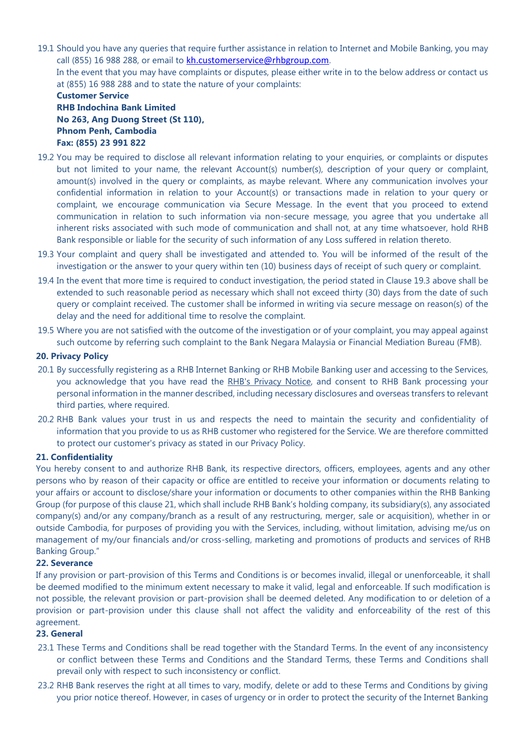19.1 Should you have any queries that require further assistance in relation to Internet and Mobile Banking, you may call (855) 16 988 288, or email to [kh.customerservice@rhbgroup.com](mailto:kh.customerservice@rhbgroup.com). In the event that you may have complaints or disputes, please either write in to the below address or contact us at (855) 16 988 288 and to state the nature of your complaints:

## **Customer Service RHB Indochina Bank Limited No 263, Ang Duong Street (St 110), Phnom Penh, Cambodia Fax: (855) 23 991 822**

- 19.2 You may be required to disclose all relevant information relating to your enquiries, or complaints or disputes but not limited to your name, the relevant Account(s) number(s), description of your query or complaint, amount(s) involved in the query or complaints, as maybe relevant. Where any communication involves your confidential information in relation to your Account(s) or transactions made in relation to your query or complaint, we encourage communication via Secure Message. In the event that you proceed to extend communication in relation to such information via non-secure message, you agree that you undertake all inherent risks associated with such mode of communication and shall not, at any time whatsoever, hold RHB Bank responsible or liable for the security of such information of any Loss suffered in relation thereto.
- 19.3 Your complaint and query shall be investigated and attended to. You will be informed of the result of the investigation or the answer to your query within ten (10) business days of receipt of such query or complaint.
- 19.4 In the event that more time is required to conduct investigation, the period stated in Clause 19.3 above shall be extended to such reasonable period as necessary which shall not exceed thirty (30) days from the date of such query or complaint received. The customer shall be informed in writing via secure message on reason(s) of the delay and the need for additional time to resolve the complaint.
- 19.5 Where you are not satisfied with the outcome of the investigation or of your complaint, you may appeal against such outcome by referring such complaint to the Bank Negara Malaysia or Financial Mediation Bureau (FMB).

## **20. Privacy Policy**

- 20.1 By successfully registering as a RHB Internet Banking or RHB Mobile Banking user and accessing to the Services, you acknowledge that you have read the [RHB's Privacy Notice,](https://www.rhbgroup.com/general-info/privacy-policy) and consent to RHB Bank processing your personal information in the manner described, including necessary disclosures and overseas transfers to relevant third parties, where required.
- 20.2 RHB Bank values your trust in us and respects the need to maintain the security and confidentiality of information that you provide to us as RHB customer who registered for the Service. We are therefore committed to protect our customer's privacy as stated in our Privacy Policy.

# **21. Confidentiality**

You hereby consent to and authorize RHB Bank, its respective directors, officers, employees, agents and any other persons who by reason of their capacity or office are entitled to receive your information or documents relating to your affairs or account to disclose/share your information or documents to other companies within the RHB Banking Group (for purpose of this clause 21, which shall include RHB Bank's holding company, its subsidiary(s), any associated company(s) and/or any company/branch as a result of any restructuring, merger, sale or acquisition), whether in or outside Cambodia, for purposes of providing you with the Services, including, without limitation, advising me/us on management of my/our financials and/or cross-selling, marketing and promotions of products and services of RHB Banking Group."

# **22. Severance**

If any provision or part-provision of this Terms and Conditions is or becomes invalid, illegal or unenforceable, it shall be deemed modified to the minimum extent necessary to make it valid, legal and enforceable. If such modification is not possible, the relevant provision or part-provision shall be deemed deleted. Any modification to or deletion of a provision or part-provision under this clause shall not affect the validity and enforceability of the rest of this agreement.

# **23. General**

- 23.1 These Terms and Conditions shall be read together with the Standard Terms. In the event of any inconsistency or conflict between these Terms and Conditions and the Standard Terms, these Terms and Conditions shall prevail only with respect to such inconsistency or conflict.
- 23.2 RHB Bank reserves the right at all times to vary, modify, delete or add to these Terms and Conditions by giving you prior notice thereof. However, in cases of urgency or in order to protect the security of the Internet Banking